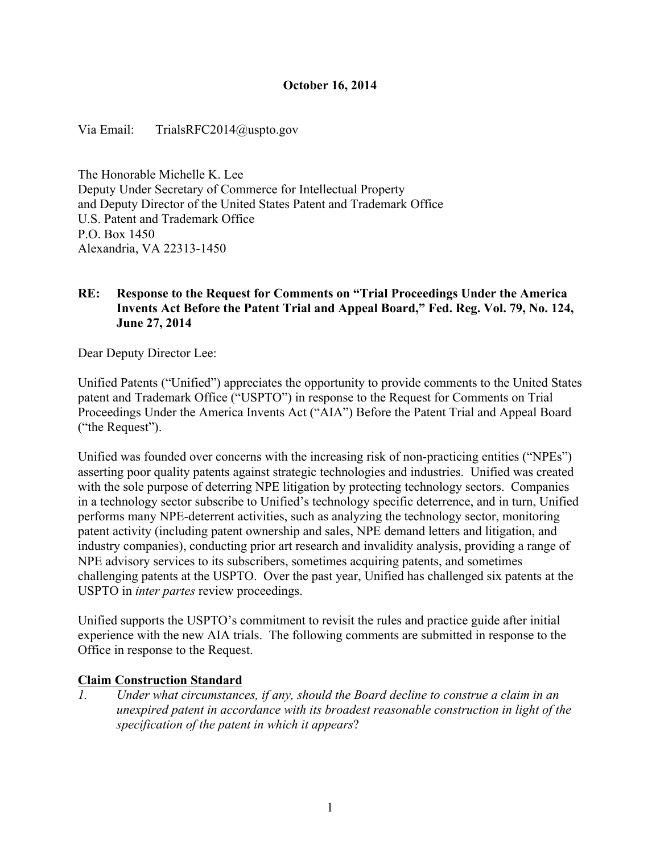## **October 16, 2014**

Via Email: TrialsRFC2014@uspto.gov

The Honorable Michelle K. Lee Deputy Under Secretary of Commerce for Intellectual Property and Deputy Director of the United States Patent and Trademark Office U.S. Patent and Trademark Office P.O. Box 1450 Alexandria, VA 22313-1450

## **RE: Response to the Request for Comments on "Trial Proceedings Under the America Invents Act Before the Patent Trial and Appeal Board," Fed. Reg. Vol. 79, No. 124, June 27, 2014**

Dear Deputy Director Lee:

 Unified Patents ("Unified") appreciates the opportunity to provide comments to the United States Proceedings Under the America Invents Act ("AIA") Before the Patent Trial and Appeal Board patent and Trademark Office ("USPTO") in response to the Request for Comments on Trial ("the Request").

 challenging patents at the USPTO. Over the past year, Unified has challenged six patents at the Unified was founded over concerns with the increasing risk of non-practicing entities ("NPEs") asserting poor quality patents against strategic technologies and industries. Unified was created with the sole purpose of deterring NPE litigation by protecting technology sectors. Companies in a technology sector subscribe to Unified's technology specific deterrence, and in turn, Unified performs many NPE-deterrent activities, such as analyzing the technology sector, monitoring patent activity (including patent ownership and sales, NPE demand letters and litigation, and industry companies), conducting prior art research and invalidity analysis, providing a range of NPE advisory services to its subscribers, sometimes acquiring patents, and sometimes USPTO in *inter partes* review proceedings.

 Unified supports the USPTO's commitment to revisit the rules and practice guide after initial experience with the new AIA trials. The following comments are submitted in response to the Office in response to the Request.

#### **Claim Construction Standard**

*1. Under what circumstances, if any, should the Board decline to construe a claim in an unexpired patent in accordance with its broadest reasonable construction in light of the specification of the patent in which it appears*?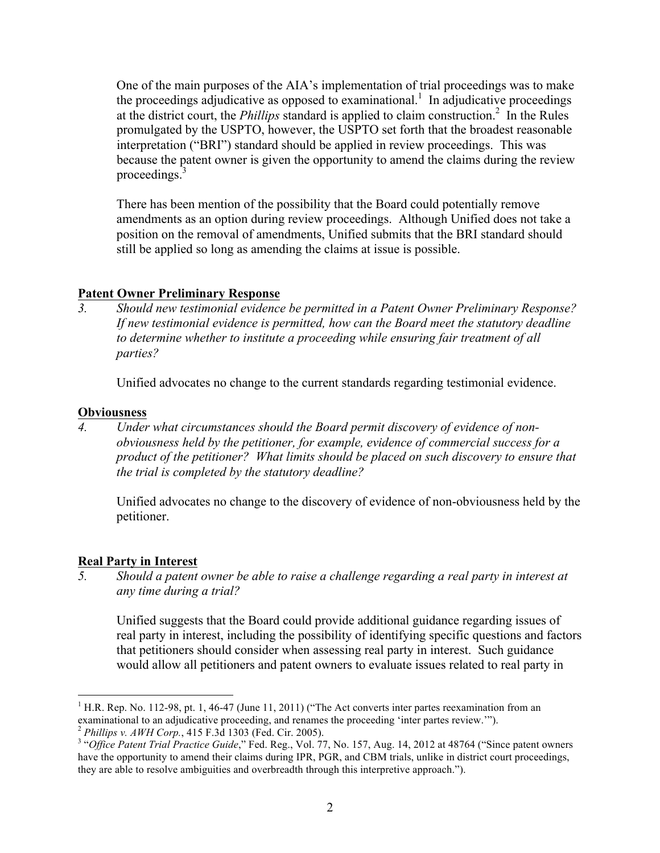the proceedings adjudicative as opposed to examinational.<sup>1</sup> In adjudicative proceedings at the district court, the *Phillips* standard is applied to claim construction.<sup>2</sup> In the Rules promulgated by the USPTO, however, the USPTO set forth that the broadest reasonable because the patent owner is given the opportunity to amend the claims during the review proceedings.<sup>3</sup> One of the main purposes of the AIA's implementation of trial proceedings was to make interpretation ("BRI") standard should be applied in review proceedings. This was

 amendments as an option during review proceedings. Although Unified does not take a There has been mention of the possibility that the Board could potentially remove position on the removal of amendments, Unified submits that the BRI standard should still be applied so long as amending the claims at issue is possible.

## **Patent Owner Preliminary Response**

*3. Should new testimonial evidence be permitted in a Patent Owner Preliminary Response? If new testimonial evidence is permitted, how can the Board meet the statutory deadline to determine whether to institute a proceeding while ensuring fair treatment of all parties?* 

Unified advocates no change to the current standards regarding testimonial evidence.

#### **Obviousness**

 *product of the petitioner? What limits should be placed on such discovery to ensure that 4. Under what circumstances should the Board permit discovery of evidence of nonobviousness held by the petitioner, for example, evidence of commercial success for a the trial is completed by the statutory deadline?* 

Unified advocates no change to the discovery of evidence of non-obviousness held by the petitioner.

#### **Real Party in Interest**

1

*5. Should a patent owner be able to raise a challenge regarding a real party in interest at any time during a trial?* 

 real party in interest, including the possibility of identifying specific questions and factors would allow all petitioners and patent owners to evaluate issues related to real party in Unified suggests that the Board could provide additional guidance regarding issues of that petitioners should consider when assessing real party in interest. Such guidance

 examinational to an adjudicative proceeding, and renames the proceeding 'inter partes review.'").  <sup>2</sup>*Phillips v. AWH Corp.*, 415 F.3d 1303 (Fed. Cir. 2005). <sup>1</sup> H.R. Rep. No. 112-98, pt. 1, 46-47 (June 11, 2011) ("The Act converts inter partes reexamination from an

<sup>&</sup>lt;sup>2</sup> Phillips v. AWH Corp., 415 F.3d 1303 (Fed. Cir. 2005).<br><sup>3</sup> "Office Patent Trial Practice Guide," Fed. Reg., Vol. 77, No. 157, Aug. 14, 2012 at 48764 ("Since patent owners have the opportunity to amend their claims during IPR, PGR, and CBM trials, unlike in district court proceedings, they are able to resolve ambiguities and overbreadth through this interpretive approach.").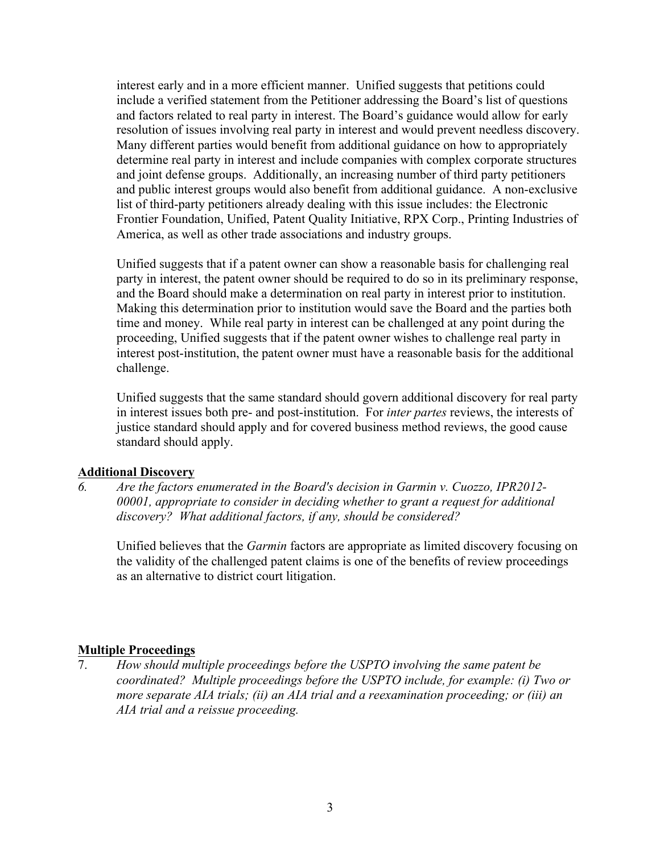interest early and in a more efficient manner. Unified suggests that petitions could Many different parties would benefit from additional guidance on how to appropriately determine real party in interest and include companies with complex corporate structures and public interest groups would also benefit from additional guidance. A non-exclusive list of third-party petitioners already dealing with this issue includes: the Electronic include a verified statement from the Petitioner addressing the Board's list of questions and factors related to real party in interest. The Board's guidance would allow for early resolution of issues involving real party in interest and would prevent needless discovery. and joint defense groups. Additionally, an increasing number of third party petitioners Frontier Foundation, Unified, Patent Quality Initiative, RPX Corp., Printing Industries of America, as well as other trade associations and industry groups.

 Unified suggests that if a patent owner can show a reasonable basis for challenging real party in interest, the patent owner should be required to do so in its preliminary response, and the Board should make a determination on real party in interest prior to institution. challenge. Making this determination prior to institution would save the Board and the parties both time and money. While real party in interest can be challenged at any point during the proceeding, Unified suggests that if the patent owner wishes to challenge real party in interest post-institution, the patent owner must have a reasonable basis for the additional

 in interest issues both pre- and post-institution. For *inter partes* reviews, the interests of standard should apply. Unified suggests that the same standard should govern additional discovery for real party justice standard should apply and for covered business method reviews, the good cause

#### **Additional Discovery**

 *discovery? What additional factors, if any, should be considered? 6. Are the factors enumerated in the Board's decision in Garmin v. Cuozzo, IPR2012- 00001, appropriate to consider in deciding whether to grant a request for additional* 

 Unified believes that the *Garmin* factors are appropriate as limited discovery focusing on the validity of the challenged patent claims is one of the benefits of review proceedings as an alternative to district court litigation.

# **Multiple Proceedings**<br>7. How should mu

How should multiple proceedings before the USPTO involving the same patent be *coordinated? Multiple proceedings before the USPTO include, for example: (i) Two or more separate AIA trials; (ii) an AIA trial and a reexamination proceeding; or (iii) an AIA trial and a reissue proceeding.*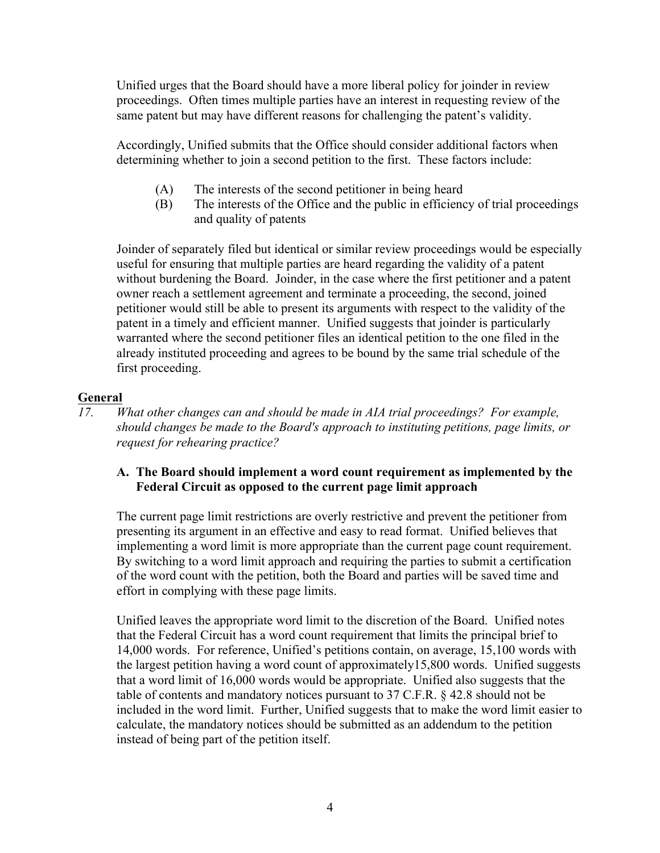Unified urges that the Board should have a more liberal policy for joinder in review same patent but may have different reasons for challenging the patent's validity. proceedings. Often times multiple parties have an interest in requesting review of the

Accordingly, Unified submits that the Office should consider additional factors when determining whether to join a second petition to the first. These factors include:

- (A) The interests of the second petitioner in being heard
- (B) The interests of the Office and the public in efficiency of trial proceedings and quality of patents

 useful for ensuring that multiple parties are heard regarding the validity of a patent without burdening the Board. Joinder, in the case where the first petitioner and a patent already instituted proceeding and agrees to be bound by the same trial schedule of the Joinder of separately filed but identical or similar review proceedings would be especially owner reach a settlement agreement and terminate a proceeding, the second, joined petitioner would still be able to present its arguments with respect to the validity of the patent in a timely and efficient manner. Unified suggests that joinder is particularly warranted where the second petitioner files an identical petition to the one filed in the first proceeding.

# **General**

*17. What other changes can and should be made in AIA trial proceedings? For example, should changes be made to the Board's approach to instituting petitions, page limits, or request for rehearing practice?* 

# **A. The Board should implement a word count requirement as implemented by the Federal Circuit as opposed to the current page limit approach**

The current page limit restrictions are overly restrictive and prevent the petitioner from presenting its argument in an effective and easy to read format. Unified believes that implementing a word limit is more appropriate than the current page count requirement. By switching to a word limit approach and requiring the parties to submit a certification of the word count with the petition, both the Board and parties will be saved time and effort in complying with these page limits.

 that the Federal Circuit has a word count requirement that limits the principal brief to Unified leaves the appropriate word limit to the discretion of the Board. Unified notes 14,000 words. For reference, Unified's petitions contain, on average, 15,100 words with the largest petition having a word count of approximately15,800 words. Unified suggests that a word limit of 16,000 words would be appropriate. Unified also suggests that the table of contents and mandatory notices pursuant to 37 C.F.R. § 42.8 should not be included in the word limit. Further, Unified suggests that to make the word limit easier to calculate, the mandatory notices should be submitted as an addendum to the petition instead of being part of the petition itself.